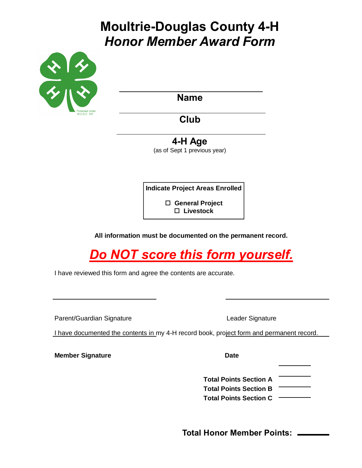# **Moultrie-Douglas County 4-H** *Honor Member Award Form*



**Name**

**Club**

**4-H Age**

(as of Sept 1 previous year)

**Indicate Project Areas Enrolled**

 **General Project Livestock**

**All information must be documented on the permanent record.**

*Do NOT score this form yourself.*

I have reviewed this form and agree the contents are accurate.

Parent/Guardian Signature **Leader Signature** Leader Signature

I have documented the contents in my 4-H record book, project form and permanent record.

**Member Signature Date** 

**Total Points Section A**

**Total Points Section B Total Points Section C**

**Total Honor Member Points:**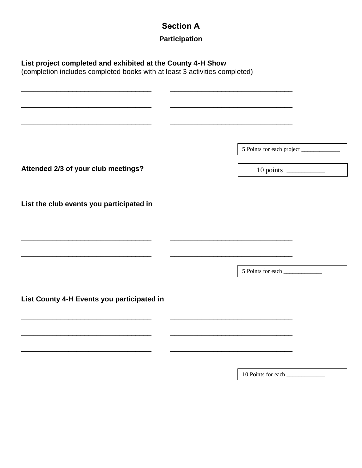# **Section A**

## **Participation**

| (completion includes completed books with at least 3 activities completed)                                                                                                                                                    |                                                                                                                      |
|-------------------------------------------------------------------------------------------------------------------------------------------------------------------------------------------------------------------------------|----------------------------------------------------------------------------------------------------------------------|
| the control of the control of the control of the control of the control of the control of the control of the control of the control of the control of the control of the control of the control of the control of the control |                                                                                                                      |
| and the control of the control of the control of the control of the control of the control of the control of the                                                                                                              | <u> 2000 - Jan James James Jan James James James James James James James James James James James James James Jam</u> |
|                                                                                                                                                                                                                               | 5 Points for each project ______________                                                                             |
| Attended 2/3 of your club meetings?                                                                                                                                                                                           |                                                                                                                      |
|                                                                                                                                                                                                                               |                                                                                                                      |
| List the club events you participated in                                                                                                                                                                                      |                                                                                                                      |
|                                                                                                                                                                                                                               |                                                                                                                      |
|                                                                                                                                                                                                                               | <u> 1999 - John Barnett, fransk politik (d. 1989)</u>                                                                |
|                                                                                                                                                                                                                               | <u> 1989 - Johann Stein, marwolaethau a bhann an t-Amhair an t-Amhair an t-Amhair an t-Amhair an t-Amhair an t-A</u> |
|                                                                                                                                                                                                                               |                                                                                                                      |
| List County 4-H Events you participated in                                                                                                                                                                                    |                                                                                                                      |
|                                                                                                                                                                                                                               |                                                                                                                      |
|                                                                                                                                                                                                                               |                                                                                                                      |
|                                                                                                                                                                                                                               |                                                                                                                      |
|                                                                                                                                                                                                                               | 10 Points for each                                                                                                   |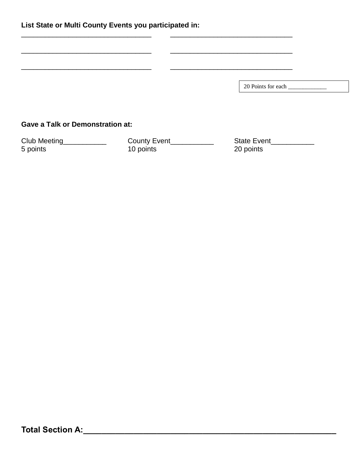| List State or Multi County Events you participated in: |              |                    |  |  |
|--------------------------------------------------------|--------------|--------------------|--|--|
|                                                        |              |                    |  |  |
|                                                        |              |                    |  |  |
|                                                        |              |                    |  |  |
|                                                        |              |                    |  |  |
|                                                        |              |                    |  |  |
| <b>Gave a Talk or Demonstration at:</b>                |              |                    |  |  |
| Club Meeting                                           | County Event | <b>State Event</b> |  |  |

5 points 10 points 20 points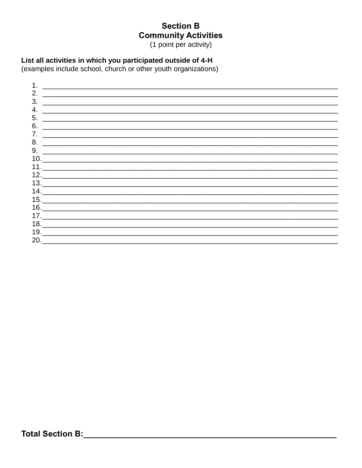#### **Section B Community Activities**

(1 point per activity)

#### List all activities in which you participated outside of 4-H

(examples include school, church or other youth organizations)

| <u> 2000 - 2000 - 2000 - 2000 - 2000 - 2000 - 2000 - 2000 - 2000 - 2000 - 2000 - 2000 - 2000 - 2000 - 2000 - 200</u><br>$\begin{array}{c}\n10. \quad \textcolor{blue}{\textbf{2.22}}\n\end{array}$<br>13. |  |
|-----------------------------------------------------------------------------------------------------------------------------------------------------------------------------------------------------------|--|